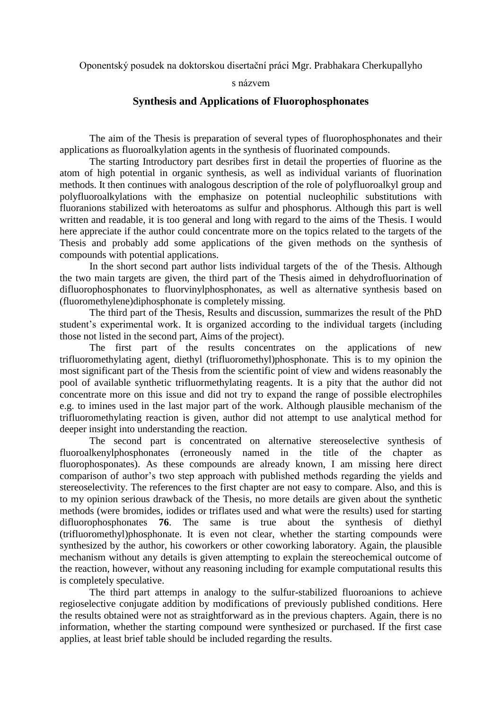Oponentský posudek na doktorskou disertační práci Mgr. Prabhakara Cherkupallyho

## s názvem

## **Synthesis and Applications of Fluorophosphonates**

The aim of the Thesis is preparation of several types of fluorophosphonates and their applications as fluoroalkylation agents in the synthesis of fluorinated compounds.

The starting Introductory part desribes first in detail the properties of fluorine as the atom of high potential in organic synthesis, as well as individual variants of fluorination methods. It then continues with analogous description of the role of polyfluoroalkyl group and polyfluoroalkylations with the emphasize on potential nucleophilic substitutions with fluoranions stabilized with heteroatoms as sulfur and phosphorus. Although this part is well written and readable, it is too general and long with regard to the aims of the Thesis. I would here appreciate if the author could concentrate more on the topics related to the targets of the Thesis and probably add some applications of the given methods on the synthesis of compounds with potential applications.

In the short second part author lists individual targets of the of the Thesis. Although the two main targets are given, the third part of the Thesis aimed in dehydrofluorination of difluorophosphonates to fluorvinylphosphonates, as well as alternative synthesis based on (fluoromethylene)diphosphonate is completely missing.

The third part of the Thesis, Results and discussion, summarizes the result of the PhD student's experimental work. It is organized according to the individual targets (including those not listed in the second part, Aims of the project).

The first part of the results concentrates on the applications of new trifluoromethylating agent, diethyl (trifluoromethyl)phosphonate. This is to my opinion the most significant part of the Thesis from the scientific point of view and widens reasonably the pool of available synthetic trifluormethylating reagents. It is a pity that the author did not concentrate more on this issue and did not try to expand the range of possible electrophiles e.g. to imines used in the last major part of the work. Although plausible mechanism of the trifluoromethylating reaction is given, author did not attempt to use analytical method for deeper insight into understanding the reaction.

The second part is concentrated on alternative stereoselective synthesis of fluoroalkenylphosphonates (erroneously named in the title of the chapter as fluorophosponates). As these compounds are already known, I am missing here direct comparison of author's two step approach with published methods regarding the yields and stereoselectivity. The references to the first chapter are not easy to compare. Also, and this is to my opinion serious drawback of the Thesis, no more details are given about the synthetic methods (were bromides, iodides or triflates used and what were the results) used for starting difluorophosphonates **76**. The same is true about the synthesis of diethyl (trifluoromethyl)phosphonate. It is even not clear, whether the starting compounds were synthesized by the author, his coworkers or other coworking laboratory. Again, the plausible mechanism without any details is given attempting to explain the stereochemical outcome of the reaction, however, without any reasoning including for example computational results this is completely speculative.

The third part attemps in analogy to the sulfur-stabilized fluoroanions to achieve regioselective conjugate addition by modifications of previously published conditions. Here the results obtained were not as straightforward as in the previous chapters. Again, there is no information, whether the starting compound were synthesized or purchased. If the first case applies, at least brief table should be included regarding the results.